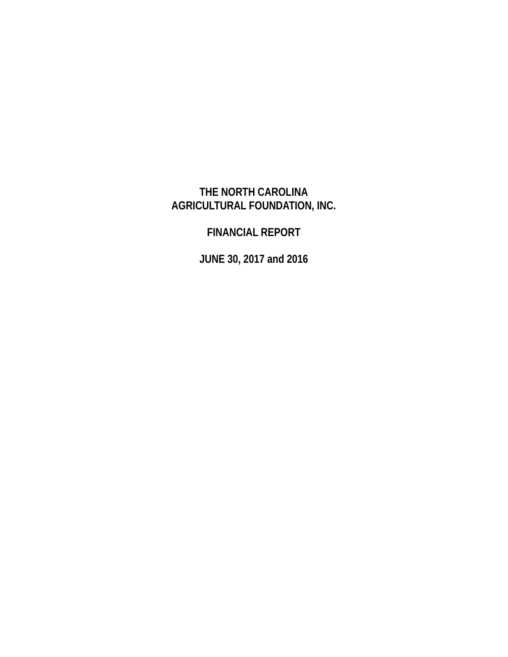# **THE NORTH CAROLINA AGRICULTURAL FOUNDATION, INC.**

# **FINANCIAL REPORT**

**JUNE 30, 2017 and 2016**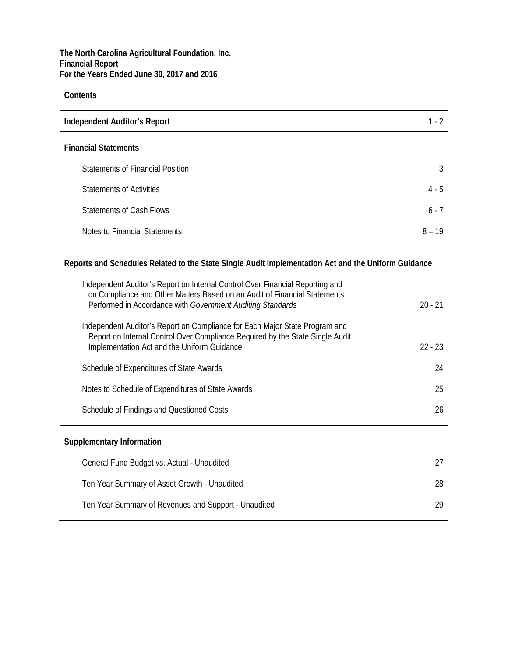**The North Carolina Agricultural Foundation, Inc. Financial Report For the Years Ended June 30, 2017 and 2016** 

## **Contents**

| Independent Auditor's Report            | 1 - 2    |
|-----------------------------------------|----------|
| <b>Financial Statements</b>             |          |
| <b>Statements of Financial Position</b> | 3        |
| <b>Statements of Activities</b>         | $4 - 5$  |
| <b>Statements of Cash Flows</b>         | $6 - 7$  |
| Notes to Financial Statements           | $8 - 19$ |

## **Reports and Schedules Related to the State Single Audit Implementation Act and the Uniform Guidance**

| Independent Auditor's Report on Internal Control Over Financial Reporting and<br>on Compliance and Other Matters Based on an Audit of Financial Statements<br>Performed in Accordance with Government Auditing Standards | $20 - 21$ |
|--------------------------------------------------------------------------------------------------------------------------------------------------------------------------------------------------------------------------|-----------|
| Independent Auditor's Report on Compliance for Each Major State Program and<br>Report on Internal Control Over Compliance Required by the State Single Audit<br>Implementation Act and the Uniform Guidance              | $22 - 23$ |
| Schedule of Expenditures of State Awards                                                                                                                                                                                 | 24        |
| Notes to Schedule of Expenditures of State Awards                                                                                                                                                                        | 25        |
| Schedule of Findings and Questioned Costs                                                                                                                                                                                | 26        |
| <b>Supplementary Information</b>                                                                                                                                                                                         |           |
| General Fund Budget vs. Actual - Unaudited                                                                                                                                                                               | 27        |
| Ten Year Summary of Asset Growth - Unaudited                                                                                                                                                                             | 28        |
| Ten Year Summary of Revenues and Support - Unaudited                                                                                                                                                                     | 29        |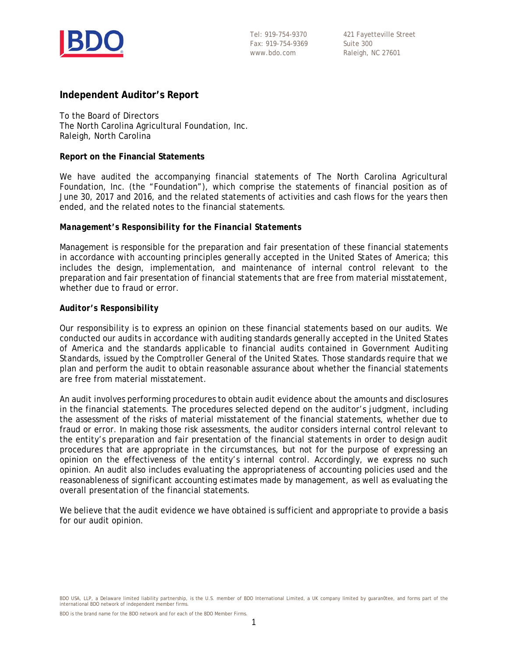

421 Fayetteville Street Suite 300 Raleigh, NC 27601

## **Independent Auditor's Report**

To the Board of Directors The North Carolina Agricultural Foundation, Inc. Raleigh, North Carolina

#### **Report on the Financial Statements**

We have audited the accompanying financial statements of The North Carolina Agricultural Foundation, Inc. (the "Foundation"), which comprise the statements of financial position as of June 30, 2017 and 2016, and the related statements of activities and cash flows for the years then ended, and the related notes to the financial statements.

#### *Management's Responsibility for the Financial Statements*

Management is responsible for the preparation and fair presentation of these financial statements in accordance with accounting principles generally accepted in the United States of America; this includes the design, implementation, and maintenance of internal control relevant to the preparation and fair presentation of financial statements that are free from material misstatement, whether due to fraud or error.

## *Auditor's Responsibility*

Our responsibility is to express an opinion on these financial statements based on our audits. We conducted our audits in accordance with auditing standards generally accepted in the United States of America and the standards applicable to financial audits contained in *Government Auditing Standards*, issued by the Comptroller General of the United States. Those standards require that we plan and perform the audit to obtain reasonable assurance about whether the financial statements are free from material misstatement.

An audit involves performing procedures to obtain audit evidence about the amounts and disclosures in the financial statements. The procedures selected depend on the auditor's judgment, including the assessment of the risks of material misstatement of the financial statements, whether due to fraud or error. In making those risk assessments, the auditor considers internal control relevant to the entity's preparation and fair presentation of the financial statements in order to design audit procedures that are appropriate in the circumstances, but not for the purpose of expressing an opinion on the effectiveness of the entity's internal control. Accordingly, we express no such opinion. An audit also includes evaluating the appropriateness of accounting policies used and the reasonableness of significant accounting estimates made by management, as well as evaluating the overall presentation of the financial statements.

We believe that the audit evidence we have obtained is sufficient and appropriate to provide a basis for our audit opinion.

BDO USA, LLP, a Delaware limited liability partnership, is the U.S. member of BDO International Limited, a UK company limited by guaran0tee, and forms part of the international BDO network of independent member firm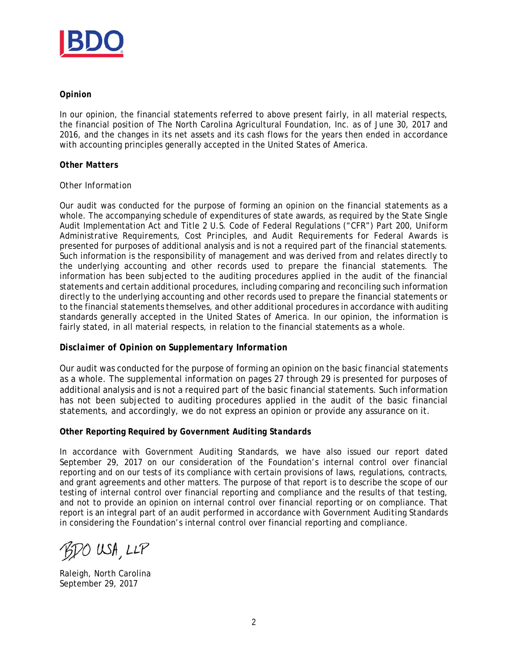

#### *Opinion*

In our opinion, the financial statements referred to above present fairly, in all material respects, the financial position of The North Carolina Agricultural Foundation, Inc. as of June 30, 2017 and 2016, and the changes in its net assets and its cash flows for the years then ended in accordance with accounting principles generally accepted in the United States of America.

#### *Other Matters*

#### *Other Information*

Our audit was conducted for the purpose of forming an opinion on the financial statements as a whole. The accompanying schedule of expenditures of state awards, as required by the State Single Audit Implementation Act and Title 2 U.S. Code of Federal Regulations ("CFR") Part 200, *Uniform Administrative Requirements, Cost Principles, and Audit Requirements for Federal Awards* is presented for purposes of additional analysis and is not a required part of the financial statements. Such information is the responsibility of management and was derived from and relates directly to the underlying accounting and other records used to prepare the financial statements. The information has been subjected to the auditing procedures applied in the audit of the financial statements and certain additional procedures, including comparing and reconciling such information directly to the underlying accounting and other records used to prepare the financial statements or to the financial statements themselves, and other additional procedures in accordance with auditing standards generally accepted in the United States of America. In our opinion, the information is fairly stated, in all material respects, in relation to the financial statements as a whole.

#### *Disclaimer of Opinion on Supplementary Information*

Our audit was conducted for the purpose of forming an opinion on the basic financial statements as a whole. The supplemental information on pages 27 through 29 is presented for purposes of additional analysis and is not a required part of the basic financial statements. Such information has not been subjected to auditing procedures applied in the audit of the basic financial statements, and accordingly, we do not express an opinion or provide any assurance on it.

#### **Other Reporting Required by** *Government Auditing Standards*

In accordance with *Government Auditing Standards*, we have also issued our report dated September 29, 2017 on our consideration of the Foundation's internal control over financial reporting and on our tests of its compliance with certain provisions of laws, regulations, contracts, and grant agreements and other matters. The purpose of that report is to describe the scope of our testing of internal control over financial reporting and compliance and the results of that testing, and not to provide an opinion on internal control over financial reporting or on compliance. That report is an integral part of an audit performed in accordance with *Government Auditing Standards* in considering the Foundation's internal control over financial reporting and compliance.

BDO USA, LLP

Raleigh, North Carolina September 29, 2017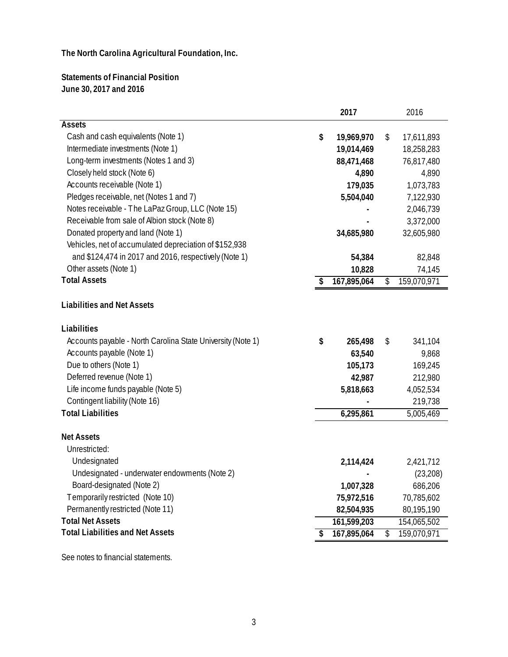**Statements of Financial Position June 30, 2017 and 2016**

|                                                             | 2017              | 2016              |
|-------------------------------------------------------------|-------------------|-------------------|
| <b>Assets</b>                                               |                   |                   |
| Cash and cash equivalents (Note 1)                          | \$<br>19,969,970  | \$<br>17,611,893  |
| Intermediate investments (Note 1)                           | 19,014,469        | 18,258,283        |
| Long-term investments (Notes 1 and 3)                       | 88,471,468        | 76,817,480        |
| Closely held stock (Note 6)                                 | 4,890             | 4,890             |
| Accounts receivable (Note 1)                                | 179,035           | 1,073,783         |
| Pledges receivable, net (Notes 1 and 7)                     | 5,504,040         | 7,122,930         |
| Notes receivable - The LaPaz Group, LLC (Note 15)           |                   | 2,046,739         |
| Receivable from sale of Albion stock (Note 8)               |                   | 3,372,000         |
| Donated property and land (Note 1)                          | 34,685,980        | 32,605,980        |
| Vehicles, net of accumulated depreciation of \$152,938      |                   |                   |
| and \$124,474 in 2017 and 2016, respectively (Note 1)       | 54,384            | 82,848            |
| Other assets (Note 1)                                       | 10,828            | 74,145            |
| <b>Total Assets</b>                                         | \$<br>167,895,064 | \$<br>159,070,971 |
| <b>Liabilities and Net Assets</b>                           |                   |                   |
| Liabilities                                                 |                   |                   |
| Accounts payable - North Carolina State University (Note 1) | \$<br>265,498     | \$<br>341,104     |
| Accounts payable (Note 1)                                   | 63,540            | 9,868             |
| Due to others (Note 1)                                      | 105,173           | 169,245           |
| Deferred revenue (Note 1)                                   | 42,987            | 212,980           |
| Life income funds payable (Note 5)                          | 5,818,663         | 4,052,534         |
| Contingent liability (Note 16)                              |                   | 219,738           |
| <b>Total Liabilities</b>                                    | 6,295,861         | 5,005,469         |
| <b>Net Assets</b>                                           |                   |                   |
| Unrestricted:                                               |                   |                   |
| Undesignated                                                | 2,114,424         | 2,421,712         |
| Undesignated - underwater endowments (Note 2)               |                   | (23, 208)         |
| Board-designated (Note 2)                                   | 1,007,328         | 686,206           |
| Temporarily restricted (Note 10)                            | 75,972,516        | 70,785,602        |
| Permanently restricted (Note 11)                            | 82,504,935        | 80,195,190        |
| <b>Total Net Assets</b>                                     | 161,599,203       | 154,065,502       |
| <b>Total Liabilities and Net Assets</b>                     | \$<br>167,895,064 | \$<br>159,070,971 |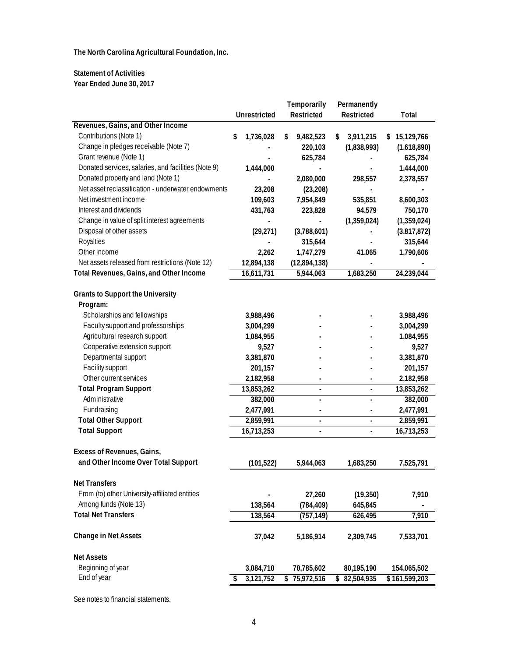#### **Statement of Activities Year Ended June 30, 2017**

|                                                     |                     | Temporarily |                          | Permanently |                          |                  |
|-----------------------------------------------------|---------------------|-------------|--------------------------|-------------|--------------------------|------------------|
|                                                     | <b>Unrestricted</b> |             | Restricted               |             | Restricted               | Total            |
| Revenues, Gains, and Other Income                   |                     |             |                          |             |                          |                  |
| Contributions (Note 1)                              | \$<br>1,736,028     | \$          | 9,482,523                | \$          | 3,911,215                | \$<br>15,129,766 |
| Change in pledges receivable (Note 7)               |                     |             | 220,103                  |             | (1,838,993)              | (1,618,890)      |
| Grant revenue (Note 1)                              |                     |             | 625,784                  |             |                          | 625,784          |
| Donated services, salaries, and facilities (Note 9) | 1,444,000           |             |                          |             |                          | 1,444,000        |
| Donated property and land (Note 1)                  |                     |             | 2,080,000                |             | 298,557                  | 2,378,557        |
| Net asset reclassification - underwater endowments  | 23,208              |             | (23, 208)                |             |                          |                  |
| Net investment income                               | 109,603             |             | 7,954,849                |             | 535,851                  | 8,600,303        |
| Interest and dividends                              | 431,763             |             | 223,828                  |             | 94,579                   | 750,170          |
| Change in value of split interest agreements        |                     |             |                          |             | (1,359,024)              | (1,359,024)      |
| Disposal of other assets                            | (29, 271)           |             | (3,788,601)              |             |                          | (3,817,872)      |
| Royalties                                           |                     |             | 315,644                  |             |                          | 315,644          |
| Other income                                        | 2,262               |             | 1,747,279                |             | 41,065                   | 1,790,606        |
| Net assets released from restrictions (Note 12)     | 12,894,138          |             | (12,894,138)             |             |                          |                  |
| Total Revenues, Gains, and Other Income             | 16,611,731          |             | 5,944,063                |             | 1,683,250                | 24,239,044       |
|                                                     |                     |             |                          |             |                          |                  |
| <b>Grants to Support the University</b>             |                     |             |                          |             |                          |                  |
| Program:                                            |                     |             |                          |             |                          |                  |
| Scholarships and fellowships                        | 3,988,496           |             |                          |             |                          | 3,988,496        |
| Faculty support and professorships                  | 3,004,299           |             |                          |             |                          | 3,004,299        |
| Agricultural research support                       | 1,084,955           |             |                          |             |                          | 1,084,955        |
| Cooperative extension support                       | 9,527               |             |                          |             |                          | 9,527            |
| Departmental support                                | 3,381,870           |             |                          |             |                          | 3,381,870        |
| Facility support                                    | 201,157             |             |                          |             |                          | 201,157          |
| Other current services                              | 2,182,958           |             |                          |             |                          | 2,182,958        |
| <b>Total Program Support</b>                        | 13,853,262          |             | $\overline{\phantom{a}}$ |             | $\blacksquare$           | 13,853,262       |
| Administrative                                      | 382,000             |             | $\overline{\phantom{a}}$ |             | $\overline{\phantom{a}}$ | 382,000          |
| Fundraising                                         | 2,477,991           |             |                          |             |                          | 2,477,991        |
| <b>Total Other Support</b>                          | 2,859,991           |             | $\overline{\phantom{a}}$ |             | $\overline{a}$           | 2,859,991        |
| <b>Total Support</b>                                | 16,713,253          |             | $\blacksquare$           |             | $\blacksquare$           | 16,713,253       |
|                                                     |                     |             |                          |             |                          |                  |
| Excess of Revenues, Gains,                          |                     |             |                          |             |                          |                  |
| and Other Income Over Total Support                 | (101, 522)          |             | 5,944,063                |             | 1,683,250                | 7,525,791        |
|                                                     |                     |             |                          |             |                          |                  |
| <b>Net Transfers</b>                                |                     |             |                          |             |                          |                  |
| From (to) other University-affiliated entities      |                     |             | 27,260                   |             | (19, 350)                | 7,910            |
| Among funds (Note 13)                               | 138,564             |             | (784, 409)               |             | 645,845                  |                  |
| <b>Total Net Transfers</b>                          | 138,564             |             | (757, 149)               |             | 626,495                  | 7,910            |
|                                                     |                     |             |                          |             |                          |                  |
| Change in Net Assets                                | 37,042              |             | 5,186,914                |             | 2,309,745                | 7,533,701        |
|                                                     |                     |             |                          |             |                          |                  |
| <b>Net Assets</b>                                   |                     |             |                          |             |                          |                  |
| Beginning of year                                   | 3,084,710           |             | 70,785,602               |             | 80,195,190               | 154,065,502      |
| End of year                                         | \$<br>3,121,752     |             | \$75,972,516             |             | \$82,504,935             | \$161,599,203    |
|                                                     |                     |             |                          |             |                          |                  |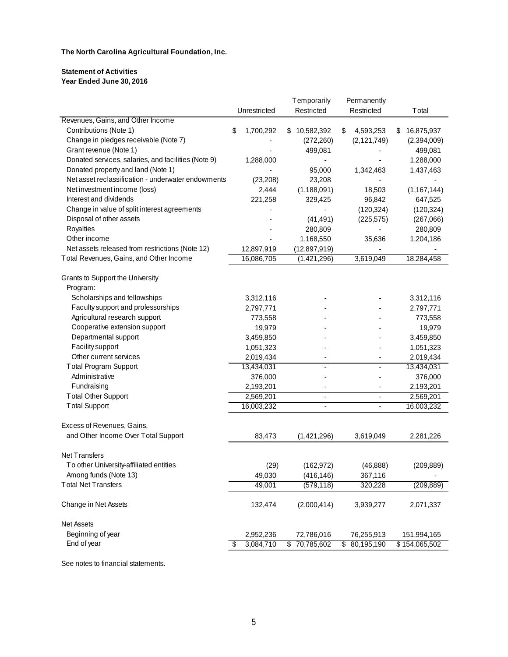#### **Statement of Activities Year Ended June 30, 2016**

|                                                     |                  | Temporarily              | Permanently              |                       |
|-----------------------------------------------------|------------------|--------------------------|--------------------------|-----------------------|
|                                                     | Unrestricted     | Restricted               | Restricted               | Total                 |
| Revenues, Gains, and Other Income                   |                  |                          |                          |                       |
| Contributions (Note 1)                              | \$<br>1,700,292  | 10,582,392<br>\$         | \$<br>4,593,253          | \$<br>16,875,937      |
| Change in pledges receivable (Note 7)               |                  | (272, 260)               | (2, 121, 749)            | (2,394,009)           |
| Grant revenue (Note 1)                              |                  | 499,081                  |                          | 499,081               |
| Donated services, salaries, and facilities (Note 9) | 1,288,000        |                          |                          | 1,288,000             |
| Donated property and land (Note 1)                  |                  | 95,000                   | 1,342,463                | 1,437,463             |
| Net asset reclassification - underwater endowments  | (23, 208)        | 23,208                   |                          |                       |
| Net investment income (loss)                        | 2,444            | (1, 188, 091)            | 18,503                   | (1, 167, 144)         |
| Interest and dividends                              | 221,258          | 329,425                  | 96,842                   | 647,525               |
| Change in value of split interest agreements        |                  |                          | (120, 324)               | (120, 324)            |
| Disposal of other assets                            |                  | (41, 491)                | (225, 575)               | (267,066)             |
| Royalties                                           |                  | 280,809                  |                          | 280,809               |
| Other income                                        |                  | 1,168,550                | 35,636                   | 1,204,186             |
| Net assets released from restrictions (Note 12)     | 12,897,919       | (12,897,919)             |                          |                       |
| Total Revenues, Gains, and Other Income             | 16,086,705       | (1,421,296)              | 3,619,049                | 18,284,458            |
|                                                     |                  |                          |                          |                       |
| Grants to Support the University<br>Program:        |                  |                          |                          |                       |
| Scholarships and fellowships                        | 3,312,116        |                          |                          | 3,312,116             |
| Faculty support and professorships                  | 2,797,771        |                          |                          | 2,797,771             |
| Agricultural research support                       | 773,558          |                          |                          | 773,558               |
| Cooperative extension support                       | 19,979           |                          |                          | 19,979                |
| Departmental support                                | 3,459,850        |                          |                          | 3,459,850             |
| Facility support                                    | 1,051,323        |                          |                          | 1,051,323             |
| Other current services                              |                  |                          |                          |                       |
|                                                     | 2,019,434        |                          | $\overline{\phantom{a}}$ | 2,019,434             |
| <b>Total Program Support</b><br>Administrative      | 13,434,031       | $\blacksquare$<br>L,     | $\blacksquare$           | 13,434,031<br>376,000 |
| Fundraising                                         | 376,000          |                          | $\bar{a}$                |                       |
|                                                     | 2,193,201        | $\overline{\phantom{m}}$ | $\overline{\phantom{a}}$ | 2,193,201             |
| <b>Total Other Support</b>                          | 2,569,201        | $\overline{\phantom{a}}$ | $\overline{\phantom{a}}$ | 2,569,201             |
| <b>Total Support</b>                                | 16,003,232       | $\overline{\phantom{a}}$ | $\blacksquare$           | 16,003,232            |
| Excess of Revenues, Gains,                          |                  |                          |                          |                       |
| and Other Income Over Total Support                 | 83,473           | (1,421,296)              | 3,619,049                | 2,281,226             |
| Net Transfers                                       |                  |                          |                          |                       |
| To other University-affiliated entities             |                  |                          |                          |                       |
| Among funds (Note 13)                               | (29)             | (162, 972)               | (46, 888)                | (209, 889)            |
| <b>Total Net Transfers</b>                          | 49,030<br>49,001 | (416, 146)<br>(579, 118) | 367,116                  |                       |
|                                                     |                  |                          | 320,228                  | (209, 889)            |
| Change in Net Assets                                | 132,474          | (2,000,414)              | 3,939,277                | 2,071,337             |
| <b>Net Assets</b>                                   |                  |                          |                          |                       |
| Beginning of year                                   | 2,952,236        | 72,786,016               | 76,255,913               | 151,994,165           |
| End of year                                         | \$<br>3,084,710  | 70,785,602<br>\$         | \$<br>80,195,190         | \$154,065,502         |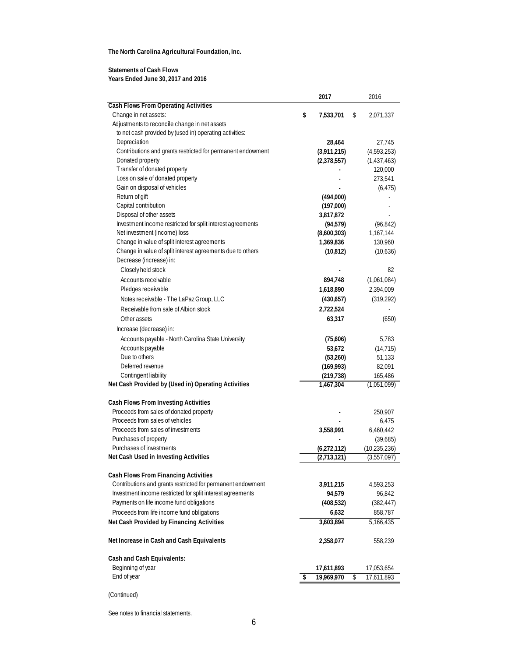#### **Statements of Cash Flows Years Ended June 30, 2017 and 2016**

|                                                             | 2017             | 2016                           |
|-------------------------------------------------------------|------------------|--------------------------------|
| <b>Cash Flows From Operating Activities</b>                 |                  |                                |
| Change in net assets:                                       | \$<br>7,533,701  | \$<br>2,071,337                |
| Adjustments to reconcile change in net assets               |                  |                                |
| to net cash provided by (used in) operating activities:     |                  |                                |
| Depreciation                                                | 28,464           | 27,745                         |
| Contributions and grants restricted for permanent endowment | (3,911,215)      | (4,593,253)                    |
| Donated property                                            | (2,378,557)      | (1,437,463)                    |
| Transfer of donated property                                |                  | 120,000                        |
| Loss on sale of donated property                            |                  | 273,541                        |
| Gain on disposal of vehicles                                |                  | (6, 475)                       |
| Return of gift                                              | (494,000)        |                                |
| Capital contribution                                        | (197,000)        |                                |
| Disposal of other assets                                    | 3,817,872        |                                |
| Investment income restricted for split interest agreements  | (94, 579)        | (96, 842)                      |
| Net investment (income) loss                                | (8,600,303)      | 1,167,144                      |
| Change in value of split interest agreements                | 1,369,836        | 130,960                        |
| Change in value of split interest agreements due to others  | (10, 812)        | (10,636)                       |
| Decrease (increase) in:                                     |                  |                                |
| Closely held stock                                          |                  | 82                             |
| Accounts receivable                                         | 894,748          | (1,061,084)                    |
| Pledges receivable                                          | 1,618,890        | 2,394,009                      |
| Notes receivable - The LaPaz Group, LLC                     | (430,657)        | (319,292)                      |
| Receivable from sale of Albion stock                        | 2,722,524        |                                |
| Other assets                                                | 63,317           | (650)                          |
| Increase (decrease) in:                                     |                  |                                |
| Accounts payable - North Carolina State University          | (75,606)         | 5,783                          |
| Accounts payable                                            | 53,672           | (14, 715)                      |
| Due to others                                               | (53,260)         | 51,133                         |
| Deferred revenue                                            | (169,993)        | 82,091                         |
| Contingent liability                                        | (219, 738)       | 165,486                        |
| Net Cash Provided by (Used in) Operating Activities         | 1,467,304        | (1,051,099)                    |
| Cash Flows From Investing Activities                        |                  |                                |
| Proceeds from sales of donated property                     |                  | 250,907                        |
| Proceeds from sales of vehicles                             |                  | 6,475                          |
| Proceeds from sales of investments                          | 3,558,991        | 6,460,442                      |
| Purchases of property                                       |                  | (39,685)                       |
| Purchases of investments                                    | (6,272,112)      | (10, 235, 236)                 |
| Net Cash Used in Investing Activities                       | (2,713,121)      | (3,557,097)                    |
|                                                             |                  |                                |
| Cash Flows From Financing Activities                        |                  |                                |
| Contributions and grants restricted for permanent endowment | 3,911,215        | 4,593,253                      |
| Investment income restricted for split interest agreements  | 94,579           | 96,842                         |
| Payments on life income fund obligations                    | (408, 532)       | (382, 447)                     |
| Proceeds from life income fund obligations                  | 6,632            | 858,787                        |
| Net Cash Provided by Financing Activities                   | 3,603,894        | 5,166,435                      |
| Net Increase in Cash and Cash Equivalents                   | 2,358,077        | 558,239                        |
| Cash and Cash Equivalents:                                  |                  |                                |
| Beginning of year                                           | 17,611,893       | 17,053,654                     |
| End of year                                                 | \$<br>19,969,970 | \$<br>$\overline{17}$ ,611,893 |
| (Continued)                                                 |                  |                                |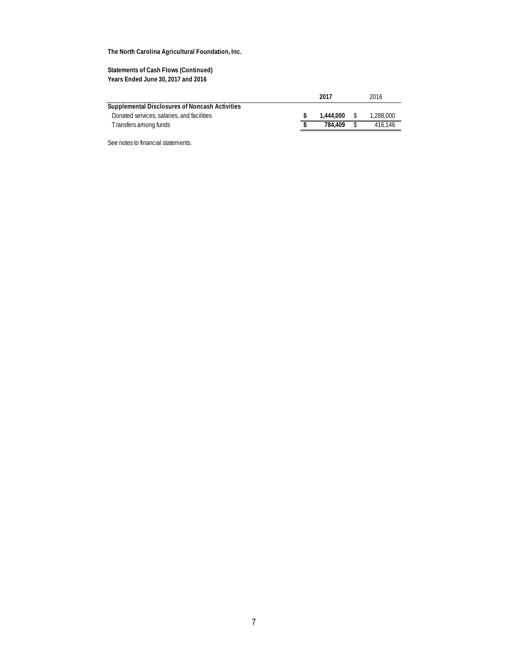#### **Statements of Cash Flows (Continued) Years Ended June 30, 2017 and 2016**

| 2017      | 2016      |
|-----------|-----------|
|           |           |
| 1.444.000 | 1.288.000 |
| 784.409   | 416.146   |
|           |           |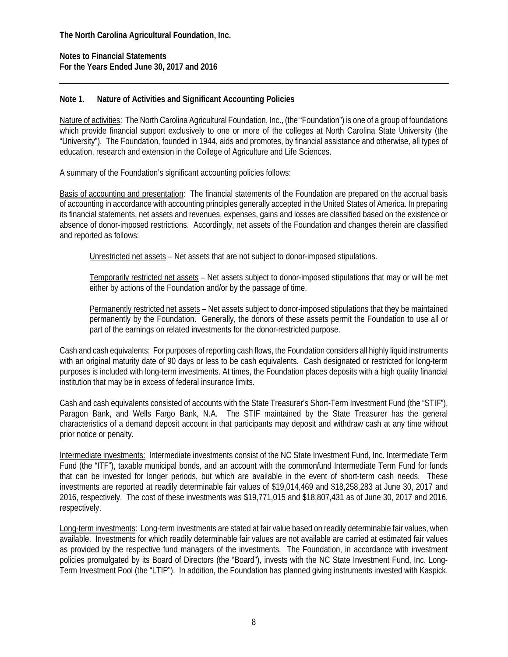**Notes to Financial Statements For the Years Ended June 30, 2017 and 2016** 

## **Note 1. Nature of Activities and Significant Accounting Policies**

Nature of activities: The North Carolina Agricultural Foundation, Inc., (the "Foundation") is one of a group of foundations which provide financial support exclusively to one or more of the colleges at North Carolina State University (the "University"). The Foundation, founded in 1944, aids and promotes, by financial assistance and otherwise, all types of education, research and extension in the College of Agriculture and Life Sciences.

A summary of the Foundation's significant accounting policies follows:

Basis of accounting and presentation: The financial statements of the Foundation are prepared on the accrual basis of accounting in accordance with accounting principles generally accepted in the United States of America. In preparing its financial statements, net assets and revenues, expenses, gains and losses are classified based on the existence or absence of donor-imposed restrictions. Accordingly, net assets of the Foundation and changes therein are classified and reported as follows:

Unrestricted net assets – Net assets that are not subject to donor-imposed stipulations.

Temporarily restricted net assets – Net assets subject to donor-imposed stipulations that may or will be met either by actions of the Foundation and/or by the passage of time.

Permanently restricted net assets – Net assets subject to donor-imposed stipulations that they be maintained permanently by the Foundation. Generally, the donors of these assets permit the Foundation to use all or part of the earnings on related investments for the donor-restricted purpose.

Cash and cash equivalents: For purposes of reporting cash flows, the Foundation considers all highly liquid instruments with an original maturity date of 90 days or less to be cash equivalents. Cash designated or restricted for long-term purposes is included with long-term investments. At times, the Foundation places deposits with a high quality financial institution that may be in excess of federal insurance limits.

Cash and cash equivalents consisted of accounts with the State Treasurer's Short-Term Investment Fund (the "STIF"), Paragon Bank, and Wells Fargo Bank, N.A. The STIF maintained by the State Treasurer has the general characteristics of a demand deposit account in that participants may deposit and withdraw cash at any time without prior notice or penalty.

Intermediate investments: Intermediate investments consist of the NC State Investment Fund, Inc. Intermediate Term Fund (the "ITF"), taxable municipal bonds, and an account with the common*f*und Intermediate Term Fund for funds that can be invested for longer periods, but which are available in the event of short-term cash needs. These investments are reported at readily determinable fair values of \$19,014,469 and \$18,258,283 at June 30, 2017 and 2016, respectively. The cost of these investments was \$19,771,015 and \$18,807,431 as of June 30, 2017 and 2016, respectively.

Long-term investments: Long-term investments are stated at fair value based on readily determinable fair values, when available. Investments for which readily determinable fair values are not available are carried at estimated fair values as provided by the respective fund managers of the investments. The Foundation, in accordance with investment policies promulgated by its Board of Directors (the "Board"), invests with the NC State Investment Fund, Inc. Long-Term Investment Pool (the "LTIP"). In addition, the Foundation has planned giving instruments invested with Kaspick.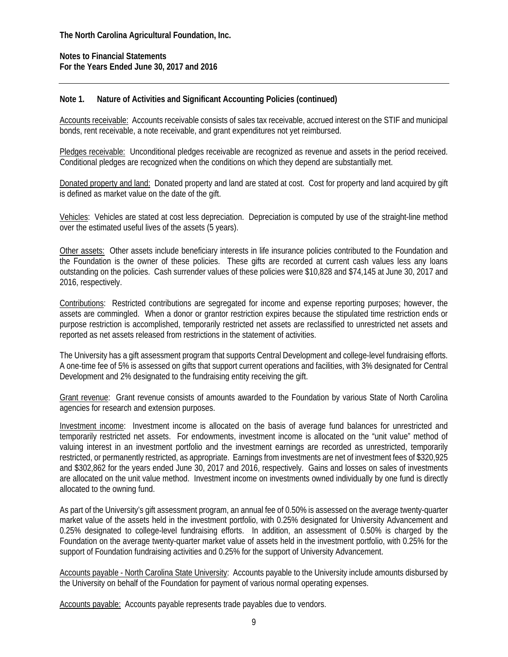**Notes to Financial Statements For the Years Ended June 30, 2017 and 2016** 

## **Note 1. Nature of Activities and Significant Accounting Policies (continued)**

Accounts receivable: Accounts receivable consists of sales tax receivable, accrued interest on the STIF and municipal bonds, rent receivable, a note receivable, and grant expenditures not yet reimbursed.

Pledges receivable: Unconditional pledges receivable are recognized as revenue and assets in the period received. Conditional pledges are recognized when the conditions on which they depend are substantially met.

Donated property and land: Donated property and land are stated at cost. Cost for property and land acquired by gift is defined as market value on the date of the gift.

Vehicles: Vehicles are stated at cost less depreciation. Depreciation is computed by use of the straight-line method over the estimated useful lives of the assets (5 years).

Other assets: Other assets include beneficiary interests in life insurance policies contributed to the Foundation and the Foundation is the owner of these policies. These gifts are recorded at current cash values less any loans outstanding on the policies. Cash surrender values of these policies were \$10,828 and \$74,145 at June 30, 2017 and 2016, respectively.

Contributions: Restricted contributions are segregated for income and expense reporting purposes; however, the assets are commingled. When a donor or grantor restriction expires because the stipulated time restriction ends or purpose restriction is accomplished, temporarily restricted net assets are reclassified to unrestricted net assets and reported as net assets released from restrictions in the statement of activities.

The University has a gift assessment program that supports Central Development and college-level fundraising efforts. A one-time fee of 5% is assessed on gifts that support current operations and facilities, with 3% designated for Central Development and 2% designated to the fundraising entity receiving the gift.

Grant revenue: Grant revenue consists of amounts awarded to the Foundation by various State of North Carolina agencies for research and extension purposes.

Investment income: Investment income is allocated on the basis of average fund balances for unrestricted and temporarily restricted net assets. For endowments, investment income is allocated on the "unit value" method of valuing interest in an investment portfolio and the investment earnings are recorded as unrestricted, temporarily restricted, or permanently restricted, as appropriate. Earnings from investments are net of investment fees of \$320,925 and \$302,862 for the years ended June 30, 2017 and 2016, respectively. Gains and losses on sales of investments are allocated on the unit value method. Investment income on investments owned individually by one fund is directly allocated to the owning fund.

As part of the University's gift assessment program, an annual fee of 0.50% is assessed on the average twenty-quarter market value of the assets held in the investment portfolio, with 0.25% designated for University Advancement and 0.25% designated to college-level fundraising efforts. In addition, an assessment of 0.50% is charged by the Foundation on the average twenty-quarter market value of assets held in the investment portfolio, with 0.25% for the support of Foundation fundraising activities and 0.25% for the support of University Advancement.

Accounts payable - North Carolina State University: Accounts payable to the University include amounts disbursed by the University on behalf of the Foundation for payment of various normal operating expenses.

Accounts payable: Accounts payable represents trade payables due to vendors.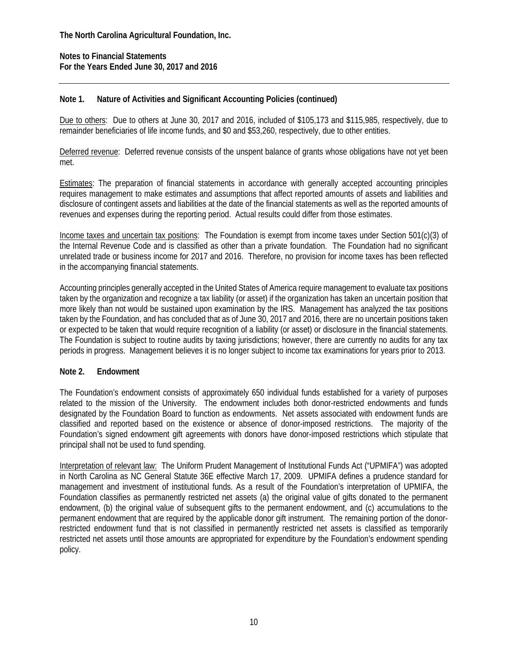**Notes to Financial Statements For the Years Ended June 30, 2017 and 2016** 

## **Note 1. Nature of Activities and Significant Accounting Policies (continued)**

Due to others: Due to others at June 30, 2017 and 2016, included of \$105,173 and \$115,985, respectively, due to remainder beneficiaries of life income funds, and \$0 and \$53,260, respectively, due to other entities.

Deferred revenue: Deferred revenue consists of the unspent balance of grants whose obligations have not yet been met.

Estimates: The preparation of financial statements in accordance with generally accepted accounting principles requires management to make estimates and assumptions that affect reported amounts of assets and liabilities and disclosure of contingent assets and liabilities at the date of the financial statements as well as the reported amounts of revenues and expenses during the reporting period. Actual results could differ from those estimates.

Income taxes and uncertain tax positions: The Foundation is exempt from income taxes under Section 501(c)(3) of the Internal Revenue Code and is classified as other than a private foundation. The Foundation had no significant unrelated trade or business income for 2017 and 2016. Therefore, no provision for income taxes has been reflected in the accompanying financial statements.

Accounting principles generally accepted in the United States of America require management to evaluate tax positions taken by the organization and recognize a tax liability (or asset) if the organization has taken an uncertain position that more likely than not would be sustained upon examination by the IRS. Management has analyzed the tax positions taken by the Foundation, and has concluded that as of June 30, 2017 and 2016, there are no uncertain positions taken or expected to be taken that would require recognition of a liability (or asset) or disclosure in the financial statements. The Foundation is subject to routine audits by taxing jurisdictions; however, there are currently no audits for any tax periods in progress. Management believes it is no longer subject to income tax examinations for years prior to 2013.

#### **Note 2. Endowment**

The Foundation's endowment consists of approximately 650 individual funds established for a variety of purposes related to the mission of the University. The endowment includes both donor-restricted endowments and funds designated by the Foundation Board to function as endowments. Net assets associated with endowment funds are classified and reported based on the existence or absence of donor-imposed restrictions. The majority of the Foundation's signed endowment gift agreements with donors have donor-imposed restrictions which stipulate that principal shall not be used to fund spending.

Interpretation of relevant law: The Uniform Prudent Management of Institutional Funds Act ("UPMIFA") was adopted in North Carolina as NC General Statute 36E effective March 17, 2009. UPMIFA defines a prudence standard for management and investment of institutional funds. As a result of the Foundation's interpretation of UPMIFA, the Foundation classifies as permanently restricted net assets (a) the original value of gifts donated to the permanent endowment, (b) the original value of subsequent gifts to the permanent endowment, and (c) accumulations to the permanent endowment that are required by the applicable donor gift instrument. The remaining portion of the donorrestricted endowment fund that is not classified in permanently restricted net assets is classified as temporarily restricted net assets until those amounts are appropriated for expenditure by the Foundation's endowment spending policy.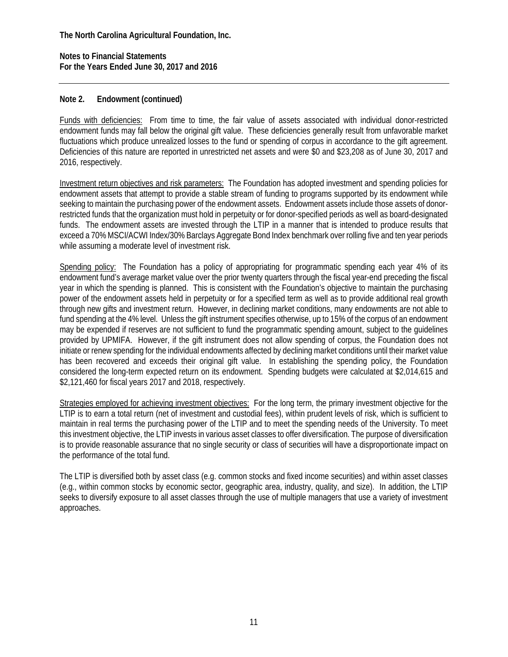**Notes to Financial Statements For the Years Ended June 30, 2017 and 2016** 

## **Note 2. Endowment (continued)**

Funds with deficiencies: From time to time, the fair value of assets associated with individual donor-restricted endowment funds may fall below the original gift value. These deficiencies generally result from unfavorable market fluctuations which produce unrealized losses to the fund or spending of corpus in accordance to the gift agreement. Deficiencies of this nature are reported in unrestricted net assets and were \$0 and \$23,208 as of June 30, 2017 and 2016, respectively.

Investment return objectives and risk parameters: The Foundation has adopted investment and spending policies for endowment assets that attempt to provide a stable stream of funding to programs supported by its endowment while seeking to maintain the purchasing power of the endowment assets. Endowment assets include those assets of donorrestricted funds that the organization must hold in perpetuity or for donor-specified periods as well as board-designated funds. The endowment assets are invested through the LTIP in a manner that is intended to produce results that exceed a 70% MSCI/ACWI Index/30% Barclays Aggregate Bond Index benchmark over rolling five and ten year periods while assuming a moderate level of investment risk.

Spending policy: The Foundation has a policy of appropriating for programmatic spending each year 4% of its endowment fund's average market value over the prior twenty quarters through the fiscal year-end preceding the fiscal year in which the spending is planned. This is consistent with the Foundation's objective to maintain the purchasing power of the endowment assets held in perpetuity or for a specified term as well as to provide additional real growth through new gifts and investment return. However, in declining market conditions, many endowments are not able to fund spending at the 4% level. Unless the gift instrument specifies otherwise, up to 15% of the corpus of an endowment may be expended if reserves are not sufficient to fund the programmatic spending amount, subject to the guidelines provided by UPMIFA. However, if the gift instrument does not allow spending of corpus, the Foundation does not initiate or renew spending for the individual endowments affected by declining market conditions until their market value has been recovered and exceeds their original gift value. In establishing the spending policy, the Foundation considered the long-term expected return on its endowment. Spending budgets were calculated at \$2,014,615 and \$2,121,460 for fiscal years 2017 and 2018, respectively.

Strategies employed for achieving investment objectives: For the long term, the primary investment objective for the LTIP is to earn a total return (net of investment and custodial fees), within prudent levels of risk, which is sufficient to maintain in real terms the purchasing power of the LTIP and to meet the spending needs of the University. To meet this investment objective, the LTIP invests in various asset classes to offer diversification. The purpose of diversification is to provide reasonable assurance that no single security or class of securities will have a disproportionate impact on the performance of the total fund.

The LTIP is diversified both by asset class (e.g. common stocks and fixed income securities) and within asset classes (e.g., within common stocks by economic sector, geographic area, industry, quality, and size). In addition, the LTIP seeks to diversify exposure to all asset classes through the use of multiple managers that use a variety of investment approaches.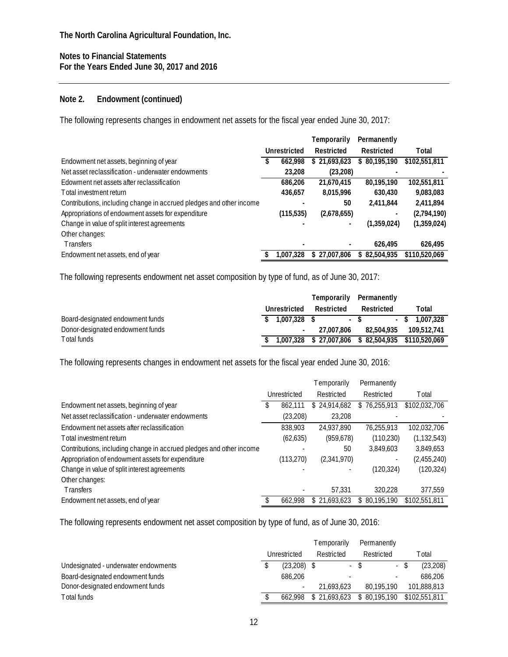## **Notes to Financial Statements For the Years Ended June 30, 2017 and 2016**

## **Note 2. Endowment (continued)**

The following represents changes in endowment net assets for the fiscal year ended June 30, 2017:

|                                                                     | Temporarily |              | Permanently  |                          |               |
|---------------------------------------------------------------------|-------------|--------------|--------------|--------------------------|---------------|
|                                                                     |             | Unrestricted | Restricted   | Restricted               | Total         |
| Endowment net assets, beginning of year                             |             | 662.998      | \$21,693,623 | \$80,195,190             | \$102,551,811 |
| Net asset reclassification - underwater endowments                  |             | 23,208       | (23, 208)    |                          |               |
| Edowment net assets after reclassification                          |             | 686.206      | 21,670,415   | 80.195.190               | 102,551,811   |
| Total investment return                                             |             | 436.657      | 8.015.996    | 630.430                  | 9,083,083     |
| Contributions, including change in accrued pledges and other income |             |              | 50           | 2,411,844                | 2,411,894     |
| Appropriations of endowment assets for expenditure                  |             | (115, 535)   | (2,678,655)  | $\overline{\phantom{0}}$ | (2,794,190)   |
| Change in value of split interest agreements                        |             |              |              | (1,359,024)              | (1,359,024)   |
| Other changes:                                                      |             |              |              |                          |               |
| <b>Transfers</b>                                                    |             |              |              | 626.495                  | 626,495       |
| Endowment net assets, end of year                                   |             | 1.007.328    | \$27.007.806 | 82.504.935<br>S.         | \$110,520,069 |

The following represents endowment net asset composition by type of fund, as of June 30, 2017:

|                                  |              |                 |            | Temporarily Permanently                                 |                     |
|----------------------------------|--------------|-----------------|------------|---------------------------------------------------------|---------------------|
|                                  | Unrestricted |                 | Restricted | Restricted                                              | Total               |
| Board-designated endowment funds |              | $$1.007.328$ \$ |            | $-S$                                                    | 1.007.328<br>$-$ \$ |
| Donor-designated endowment funds |              |                 | 27.007.806 | 82.504.935                                              | 109.512.741         |
| Total funds                      |              |                 |            | $$1,007,328$ $$27,007,806$ $$82,504,935$ $$110,520,069$ |                     |

The following represents changes in endowment net assets for the fiscal year ended June 30, 2016:

|                                                                     |              |            | <b>Temporarily</b> | Permanently      |               |
|---------------------------------------------------------------------|--------------|------------|--------------------|------------------|---------------|
|                                                                     | Unrestricted |            | Restricted         | Restricted       | T otal        |
| Endowment net assets, beginning of year                             |              | 862.111    | \$24,914,682       | 76,255,913<br>S. | \$102,032,706 |
| Net asset reclassification - underwater endowments                  |              | (23, 208)  | 23,208             |                  |               |
| Endowment net assets after reclassification                         |              | 838,903    | 24,937,890         | 76,255,913       | 102,032,706   |
| Total investment return                                             |              | (62, 635)  | (959, 678)         | (110, 230)       | (1, 132, 543) |
| Contributions, including change in accrued pledges and other income |              |            | 50                 | 3,849,603        | 3,849,653     |
| Appropriation of endowment assets for expenditure                   |              | (113, 270) | (2,341,970)        | $\overline{a}$   | (2,455,240)   |
| Change in value of split interest agreements                        |              |            |                    | (120, 324)       | (120, 324)    |
| Other changes:                                                      |              |            |                    |                  |               |
| <b>Transfers</b>                                                    |              |            | 57.331             | 320.228          | 377,559       |
| Endowment net assets, end of year                                   |              | 662.998    | \$21,693,623       | 80,195,190       | \$102,551,811 |

The following represents endowment net asset composition by type of fund, as of June 30, 2016:

|                                      | Temporarily  |               |              | Permanently  |                   |
|--------------------------------------|--------------|---------------|--------------|--------------|-------------------|
|                                      | Unrestricted |               | Restricted   | Restricted   | ⊤otal             |
| Undesignated - underwater endowments |              | $(23,208)$ \$ |              | - \$         | (23, 208)<br>- \$ |
| Board-designated endowment funds     |              | 686.206       |              |              | 686.206           |
| Donor-designated endowment funds     |              |               | 21.693.623   | 80.195.190   | 101,888,813       |
| Total funds                          |              | 662.998       | \$21,693,623 | \$80,195,190 | \$102,551,811     |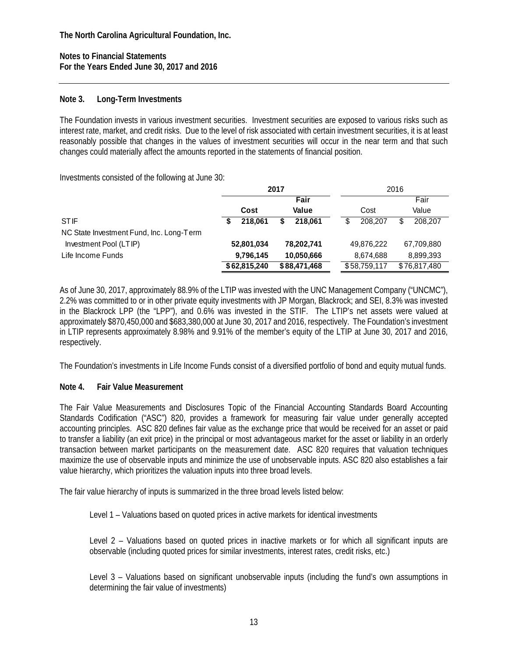## **Notes to Financial Statements For the Years Ended June 30, 2017 and 2016**

## **Note 3. Long-Term Investments**

The Foundation invests in various investment securities. Investment securities are exposed to various risks such as interest rate, market, and credit risks. Due to the level of risk associated with certain investment securities, it is at least reasonably possible that changes in the values of investment securities will occur in the near term and that such changes could materially affect the amounts reported in the statements of financial position.

Investments consisted of the following at June 30:

|                                          | 2017 |              |  |              |  | 2016         |  |              |  |
|------------------------------------------|------|--------------|--|--------------|--|--------------|--|--------------|--|
|                                          |      |              |  | Fair         |  |              |  | Fair         |  |
|                                          |      | Cost         |  | Value        |  | Cost         |  | Value        |  |
| <b>STIF</b>                              | S    | 218.061      |  | 218.061      |  | 208,207      |  | 208,207      |  |
| NC State Investment Fund, Inc. Long-Term |      |              |  |              |  |              |  |              |  |
| Investment Pool (LTIP)                   |      | 52,801,034   |  | 78,202,741   |  | 49.876.222   |  | 67,709,880   |  |
| Life Income Funds                        |      | 9,796,145    |  | 10,050,666   |  | 8,674,688    |  | 8,899,393    |  |
|                                          |      | \$62,815,240 |  | \$88,471,468 |  | \$58,759,117 |  | \$76,817,480 |  |

As of June 30, 2017, approximately 88.9% of the LTIP was invested with the UNC Management Company ("UNCMC"), 2.2% was committed to or in other private equity investments with JP Morgan, Blackrock; and SEI, 8.3% was invested in the Blackrock LPP (the "LPP"), and 0.6% was invested in the STIF. The LTIP's net assets were valued at approximately \$870,450,000 and \$683,380,000 at June 30, 2017 and 2016, respectively. The Foundation's investment in LTIP represents approximately 8.98% and 9.91% of the member's equity of the LTIP at June 30, 2017 and 2016, respectively.

The Foundation's investments in Life Income Funds consist of a diversified portfolio of bond and equity mutual funds.

## **Note 4. Fair Value Measurement**

The Fair Value Measurements and Disclosures Topic of the Financial Accounting Standards Board Accounting Standards Codification ("ASC") 820, provides a framework for measuring fair value under generally accepted accounting principles. ASC 820 defines fair value as the exchange price that would be received for an asset or paid to transfer a liability (an exit price) in the principal or most advantageous market for the asset or liability in an orderly transaction between market participants on the measurement date. ASC 820 requires that valuation techniques maximize the use of observable inputs and minimize the use of unobservable inputs. ASC 820 also establishes a fair value hierarchy, which prioritizes the valuation inputs into three broad levels.

The fair value hierarchy of inputs is summarized in the three broad levels listed below:

Level 1 – Valuations based on quoted prices in active markets for identical investments

Level 2 – Valuations based on quoted prices in inactive markets or for which all significant inputs are observable (including quoted prices for similar investments, interest rates, credit risks, etc.)

Level 3 – Valuations based on significant unobservable inputs (including the fund's own assumptions in determining the fair value of investments)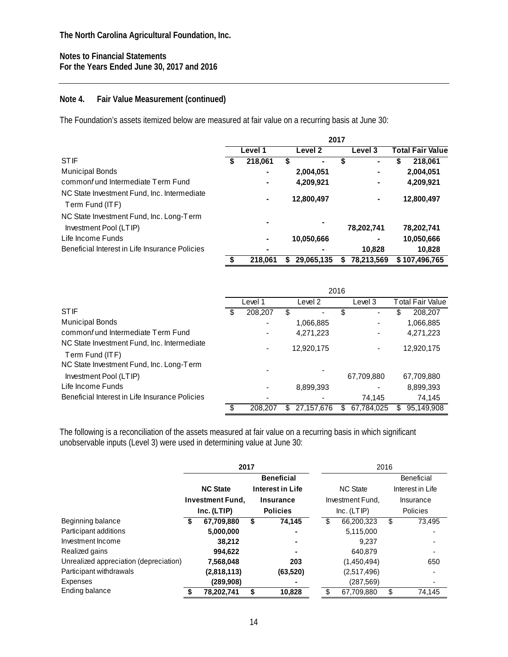## **Notes to Financial Statements For the Years Ended June 30, 2017 and 2016**

## **Note 4. Fair Value Measurement (continued)**

The Foundation's assets itemized below are measured at fair value on a recurring basis at June 30:

|                                                                    | 2017 |         |  |                |    |            |                         |  |
|--------------------------------------------------------------------|------|---------|--|----------------|----|------------|-------------------------|--|
|                                                                    |      | Level 1 |  | Level 2        |    | Level 3    | <b>Total Fair Value</b> |  |
| <b>STIF</b>                                                        |      | 218,061 |  | $\blacksquare$ | \$ |            | 218,061                 |  |
| <b>Municipal Bonds</b>                                             |      |         |  | 2,004,051      |    |            | 2,004,051               |  |
| commonfund Intermediate Term Fund                                  |      |         |  | 4,209,921      |    |            | 4,209,921               |  |
| NC State Investment Fund, Inc. Intermediate<br>Term Fund (ITF)     |      |         |  | 12,800,497     |    |            | 12,800,497              |  |
| NC State Investment Fund, Inc. Long-Term<br>Investment Pool (LTIP) |      |         |  |                |    | 78,202,741 | 78,202,741              |  |
| Life Income Funds                                                  |      |         |  | 10,050,666     |    |            | 10,050,666              |  |
| Beneficial Interest in Life Insurance Policies                     |      |         |  |                |    | 10,828     | 10,828                  |  |
|                                                                    |      | 218.061 |  | 29.065.135     | S. | 78.213.569 | \$107.496.765           |  |

|                                                                    | 2016 |         |    |              |    |            |  |                  |
|--------------------------------------------------------------------|------|---------|----|--------------|----|------------|--|------------------|
|                                                                    |      | Level 1 |    | Level 2      |    | Level 3    |  | Total Fair Value |
| <b>STIF</b>                                                        |      | 208,207 | \$ |              | \$ |            |  | 208,207          |
| <b>Municipal Bonds</b>                                             |      |         |    | 1,066,885    |    |            |  | 1,066,885        |
| common fund Intermediate Term Fund                                 |      |         |    | 4,271,223    |    |            |  | 4,271,223        |
| NC State Investment Fund, Inc. Intermediate<br>Term Fund (ITF)     |      |         |    | 12,920,175   |    |            |  | 12,920,175       |
| NC State Investment Fund, Inc. Long-Term<br>Investment Pool (LTIP) |      |         |    |              |    | 67,709,880 |  | 67,709,880       |
| Life Income Funds                                                  |      |         |    | 8.899.393    |    |            |  | 8,899,393        |
| Beneficial Interest in Life Insurance Policies                     |      |         |    |              |    | 74.145     |  | 74,145           |
|                                                                    |      | 208,207 |    | 27, 157, 676 | S. | 67.784.025 |  | 95.149.908       |

The following is a reconciliation of the assets measured at fair value on a recurring basis in which significant unobservable inputs (Level 3) were used in determining value at June 30:

|                                        | 2017 |                                     |  | 2016              |  |             |                  |            |
|----------------------------------------|------|-------------------------------------|--|-------------------|--|-------------|------------------|------------|
|                                        |      |                                     |  | <b>Beneficial</b> |  |             |                  | Beneficial |
|                                        |      | Interest in Life<br><b>NC State</b> |  | <b>NC State</b>   |  |             | Interest in Life |            |
|                                        |      | Investment Fund,<br>Insurance       |  | Investment Fund,  |  |             | Insurance        |            |
|                                        |      | Inc. (LTIP)                         |  | <b>Policies</b>   |  | Inc. (LTIP) | Policies         |            |
| Beginning balance                      |      | 67.709.880                          |  | 74,145            |  | 66,200,323  | \$               | 73.495     |
| Participant additions                  |      | 5,000,000                           |  |                   |  | 5,115,000   |                  |            |
| Investment Income                      |      | 38.212                              |  |                   |  | 9.237       |                  |            |
| Realized gains                         |      | 994,622                             |  |                   |  | 640,879     |                  |            |
| Unrealized appreciation (depreciation) |      | 7,568,048                           |  | 203               |  | (1,450,494) |                  | 650        |
| Participant withdrawals                |      | (2,818,113)                         |  | (63,520)          |  | (2,517,496) |                  |            |
| Expenses                               |      | (289,908)                           |  |                   |  | (287,569)   |                  |            |
| Ending balance                         |      | 78.202.741                          |  | 10.828            |  | 67.709.880  | \$               | 74,145     |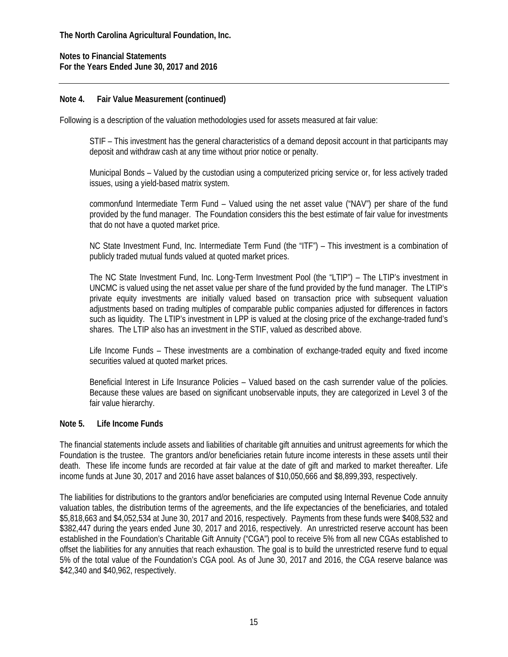**Notes to Financial Statements For the Years Ended June 30, 2017 and 2016** 

## **Note 4. Fair Value Measurement (continued)**

Following is a description of the valuation methodologies used for assets measured at fair value:

STIF – This investment has the general characteristics of a demand deposit account in that participants may deposit and withdraw cash at any time without prior notice or penalty.

Municipal Bonds – Valued by the custodian using a computerized pricing service or, for less actively traded issues, using a yield-based matrix system.

common*f*und Intermediate Term Fund – Valued using the net asset value ("NAV") per share of the fund provided by the fund manager. The Foundation considers this the best estimate of fair value for investments that do not have a quoted market price.

NC State Investment Fund, Inc. Intermediate Term Fund (the "ITF") – This investment is a combination of publicly traded mutual funds valued at quoted market prices.

The NC State Investment Fund, Inc. Long-Term Investment Pool (the "LTIP") – The LTIP's investment in UNCMC is valued using the net asset value per share of the fund provided by the fund manager. The LTIP's private equity investments are initially valued based on transaction price with subsequent valuation adjustments based on trading multiples of comparable public companies adjusted for differences in factors such as liquidity. The LTIP's investment in LPP is valued at the closing price of the exchange-traded fund's shares. The LTIP also has an investment in the STIF, valued as described above.

Life Income Funds – These investments are a combination of exchange-traded equity and fixed income securities valued at quoted market prices.

Beneficial Interest in Life Insurance Policies – Valued based on the cash surrender value of the policies. Because these values are based on significant unobservable inputs, they are categorized in Level 3 of the fair value hierarchy.

#### **Note 5. Life Income Funds**

The financial statements include assets and liabilities of charitable gift annuities and unitrust agreements for which the Foundation is the trustee. The grantors and/or beneficiaries retain future income interests in these assets until their death. These life income funds are recorded at fair value at the date of gift and marked to market thereafter. Life income funds at June 30, 2017 and 2016 have asset balances of \$10,050,666 and \$8,899,393, respectively.

The liabilities for distributions to the grantors and/or beneficiaries are computed using Internal Revenue Code annuity valuation tables, the distribution terms of the agreements, and the life expectancies of the beneficiaries, and totaled \$5,818,663 and \$4,052,534 at June 30, 2017 and 2016, respectively. Payments from these funds were \$408,532 and \$382,447 during the years ended June 30, 2017 and 2016, respectively. An unrestricted reserve account has been established in the Foundation's Charitable Gift Annuity ("CGA") pool to receive 5% from all new CGAs established to offset the liabilities for any annuities that reach exhaustion. The goal is to build the unrestricted reserve fund to equal 5% of the total value of the Foundation's CGA pool. As of June 30, 2017 and 2016, the CGA reserve balance was \$42,340 and \$40,962, respectively.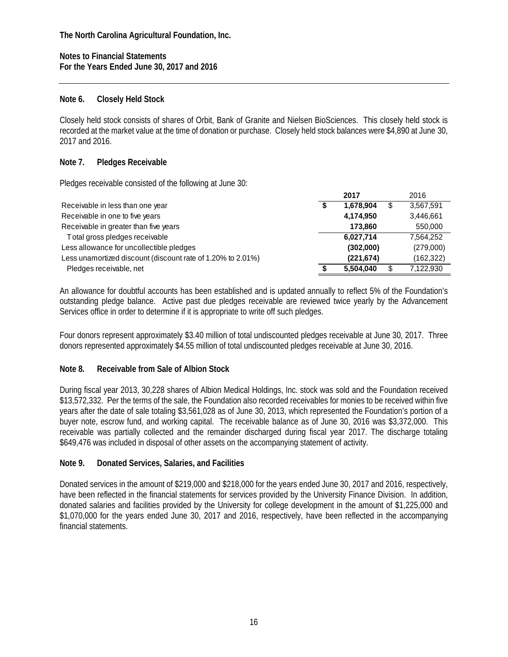**Notes to Financial Statements For the Years Ended June 30, 2017 and 2016** 

## **Note 6. Closely Held Stock**

Closely held stock consists of shares of Orbit, Bank of Granite and Nielsen BioSciences. This closely held stock is recorded at the market value at the time of donation or purchase. Closely held stock balances were \$4,890 at June 30, 2017 and 2016.

## **Note 7. Pledges Receivable**

Pledges receivable consisted of the following at June 30:

|                                                             | 2017            | 2016       |
|-------------------------------------------------------------|-----------------|------------|
| Receivable in less than one year                            | \$<br>1.678.904 | 3,567,591  |
| Receivable in one to five years                             | 4,174,950       | 3,446,661  |
| Receivable in greater than five years                       | 173.860         | 550,000    |
| Total gross pledges receivable                              | 6,027,714       | 7,564,252  |
| Less allowance for uncollectible pledges                    | (302,000)       | (279,000)  |
| Less unamortized discount (discount rate of 1.20% to 2.01%) | (221, 674)      | (162, 322) |
| Pledges receivable, net                                     | 5.504.040       | 7,122,930  |

An allowance for doubtful accounts has been established and is updated annually to reflect 5% of the Foundation's outstanding pledge balance. Active past due pledges receivable are reviewed twice yearly by the Advancement Services office in order to determine if it is appropriate to write off such pledges.

Four donors represent approximately \$3.40 million of total undiscounted pledges receivable at June 30, 2017. Three donors represented approximately \$4.55 million of total undiscounted pledges receivable at June 30, 2016.

## **Note 8. Receivable from Sale of Albion Stock**

During fiscal year 2013, 30,228 shares of Albion Medical Holdings, Inc. stock was sold and the Foundation received \$13,572,332. Per the terms of the sale, the Foundation also recorded receivables for monies to be received within five years after the date of sale totaling \$3,561,028 as of June 30, 2013, which represented the Foundation's portion of a buyer note, escrow fund, and working capital. The receivable balance as of June 30, 2016 was \$3,372,000. This receivable was partially collected and the remainder discharged during fiscal year 2017. The discharge totaling \$649,476 was included in disposal of other assets on the accompanying statement of activity.

#### **Note 9. Donated Services, Salaries, and Facilities**

Donated services in the amount of \$219,000 and \$218,000 for the years ended June 30, 2017 and 2016, respectively, have been reflected in the financial statements for services provided by the University Finance Division. In addition, donated salaries and facilities provided by the University for college development in the amount of \$1,225,000 and \$1,070,000 for the years ended June 30, 2017 and 2016, respectively, have been reflected in the accompanying financial statements.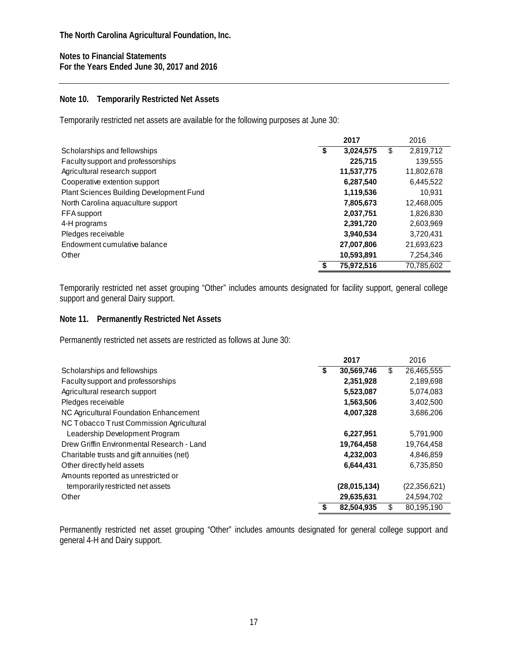## **Notes to Financial Statements For the Years Ended June 30, 2017 and 2016**

## **Note 10. Temporarily Restricted Net Assets**

Temporarily restricted net assets are available for the following purposes at June 30:

|                                          | 2017            |   | 2016       |
|------------------------------------------|-----------------|---|------------|
| Scholarships and fellowships             | \$<br>3,024,575 | S | 2,819,712  |
| Faculty support and professorships       | 225.715         |   | 139.555    |
| Agricultural research support            | 11,537,775      |   | 11.802.678 |
| Cooperative extention support            | 6.287.540       |   | 6,445,522  |
| Plant Sciences Building Development Fund | 1,119,536       |   | 10.931     |
| North Carolina aquaculture support       | 7.805.673       |   | 12.468.005 |
| <b>FFA</b> support                       | 2.037.751       |   | 1.826.830  |
| 4-H programs                             | 2.391.720       |   | 2.603.969  |
| Pledges receivable                       | 3.940.534       |   | 3.720.431  |
| Endowment cumulative balance             | 27,007,806      |   | 21.693.623 |
| Other                                    | 10,593,891      |   | 7,254,346  |
|                                          | 75.972.516      |   | 70.785.602 |

Temporarily restricted net asset grouping "Other" includes amounts designated for facility support, general college support and general Dairy support.

## **Note 11. Permanently Restricted Net Assets**

Permanently restricted net assets are restricted as follows at June 30:

|                                            | 2017             |     | 2016           |
|--------------------------------------------|------------------|-----|----------------|
| Scholarships and fellowships               | \$<br>30,569,746 | \$. | 26,465,555     |
| Faculty support and professorships         | 2.351.928        |     | 2.189.698      |
| Agricultural research support              | 5,523,087        |     | 5,074,083      |
| Pledges receivable                         | 1,563,506        |     | 3,402,500      |
| NC Agricultural Foundation Enhancement     | 4,007,328        |     | 3,686,206      |
| NC Tobacco Trust Commission Agricultural   |                  |     |                |
| Leadership Development Program             | 6,227,951        |     | 5.791.900      |
| Drew Griffin Environmental Research - Land | 19,764,458       |     | 19,764,458     |
| Charitable trusts and gift annuities (net) | 4,232,003        |     | 4,846,859      |
| Other directly held assets                 | 6.644.431        |     | 6.735.850      |
| Amounts reported as unrestricted or        |                  |     |                |
| temporarily restricted net assets          | (28,015,134)     |     | (22, 356, 621) |
| Other                                      | 29,635,631       |     | 24,594,702     |
|                                            | \$<br>82.504.935 | \$  | 80.195.190     |

Permanently restricted net asset grouping "Other" includes amounts designated for general college support and general 4-H and Dairy support.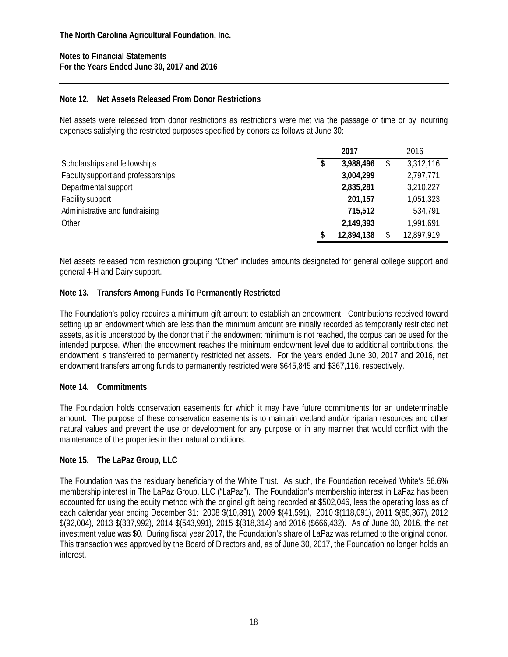**Notes to Financial Statements For the Years Ended June 30, 2017 and 2016** 

## **Note 12. Net Assets Released From Donor Restrictions**

Net assets were released from donor restrictions as restrictions were met via the passage of time or by incurring expenses satisfying the restricted purposes specified by donors as follows at June 30:

|                                    | 2017            | 2016       |
|------------------------------------|-----------------|------------|
| Scholarships and fellowships       | \$<br>3,988,496 | 3,312,116  |
| Faculty support and professorships | 3,004,299       | 2,797,771  |
| Departmental support               | 2,835,281       | 3,210,227  |
| Facility support                   | 201,157         | 1,051,323  |
| Administrative and fundraising     | 715,512         | 534,791    |
| Other                              | 2,149,393       | 1,991,691  |
|                                    | 12,894,138      | 12,897,919 |

Net assets released from restriction grouping "Other" includes amounts designated for general college support and general 4-H and Dairy support.

## **Note 13. Transfers Among Funds To Permanently Restricted**

The Foundation's policy requires a minimum gift amount to establish an endowment. Contributions received toward setting up an endowment which are less than the minimum amount are initially recorded as temporarily restricted net assets, as it is understood by the donor that if the endowment minimum is not reached, the corpus can be used for the intended purpose. When the endowment reaches the minimum endowment level due to additional contributions, the endowment is transferred to permanently restricted net assets. For the years ended June 30, 2017 and 2016, net endowment transfers among funds to permanently restricted were \$645,845 and \$367,116, respectively.

#### **Note 14. Commitments**

The Foundation holds conservation easements for which it may have future commitments for an undeterminable amount. The purpose of these conservation easements is to maintain wetland and/or riparian resources and other natural values and prevent the use or development for any purpose or in any manner that would conflict with the maintenance of the properties in their natural conditions.

#### **Note 15. The LaPaz Group, LLC**

The Foundation was the residuary beneficiary of the White Trust. As such, the Foundation received White's 56.6% membership interest in The LaPaz Group, LLC ("LaPaz"). The Foundation's membership interest in LaPaz has been accounted for using the equity method with the original gift being recorded at \$502,046, less the operating loss as of each calendar year ending December 31: 2008 \$(10,891), 2009 \$(41,591), 2010 \$(118,091), 2011 \$(85,367), 2012 \$(92,004), 2013 \$(337,992), 2014 \$(543,991), 2015 \$(318,314) and 2016 (\$666,432). As of June 30, 2016, the net investment value was \$0. During fiscal year 2017, the Foundation's share of LaPaz was returned to the original donor. This transaction was approved by the Board of Directors and, as of June 30, 2017, the Foundation no longer holds an interest.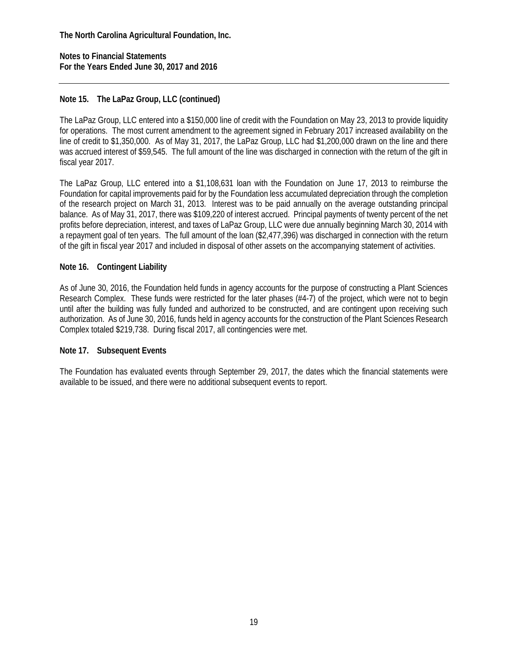**Notes to Financial Statements For the Years Ended June 30, 2017 and 2016** 

## **Note 15. The LaPaz Group, LLC (continued)**

The LaPaz Group, LLC entered into a \$150,000 line of credit with the Foundation on May 23, 2013 to provide liquidity for operations. The most current amendment to the agreement signed in February 2017 increased availability on the line of credit to \$1,350,000. As of May 31, 2017, the LaPaz Group, LLC had \$1,200,000 drawn on the line and there was accrued interest of \$59,545. The full amount of the line was discharged in connection with the return of the gift in fiscal year 2017.

The LaPaz Group, LLC entered into a \$1,108,631 loan with the Foundation on June 17, 2013 to reimburse the Foundation for capital improvements paid for by the Foundation less accumulated depreciation through the completion of the research project on March 31, 2013. Interest was to be paid annually on the average outstanding principal balance. As of May 31, 2017, there was \$109,220 of interest accrued. Principal payments of twenty percent of the net profits before depreciation, interest, and taxes of LaPaz Group, LLC were due annually beginning March 30, 2014 with a repayment goal of ten years. The full amount of the loan (\$2,477,396) was discharged in connection with the return of the gift in fiscal year 2017 and included in disposal of other assets on the accompanying statement of activities.

## **Note 16. Contingent Liability**

As of June 30, 2016, the Foundation held funds in agency accounts for the purpose of constructing a Plant Sciences Research Complex. These funds were restricted for the later phases (#4-7) of the project, which were not to begin until after the building was fully funded and authorized to be constructed, and are contingent upon receiving such authorization. As of June 30, 2016, funds held in agency accounts for the construction of the Plant Sciences Research Complex totaled \$219,738. During fiscal 2017, all contingencies were met.

#### **Note 17. Subsequent Events**

The Foundation has evaluated events through September 29, 2017, the dates which the financial statements were available to be issued, and there were no additional subsequent events to report.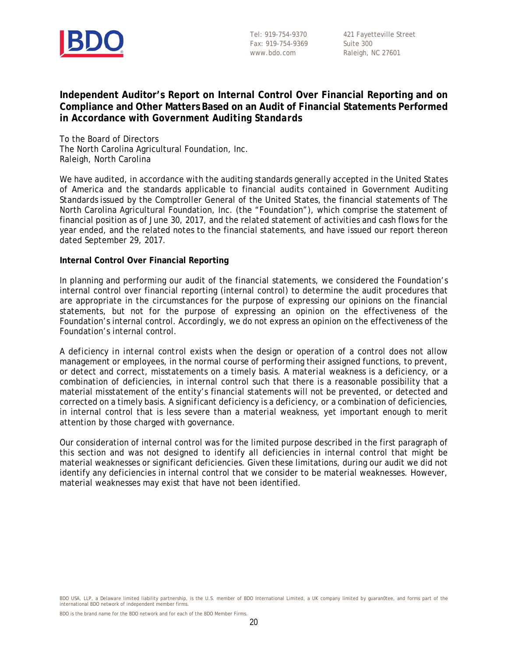

## **Independent Auditor's Report on Internal Control Over Financial Reporting and on Compliance and Other Matters Based on an Audit of Financial Statements Performed in Accordance with** *Government Auditing Standards*

To the Board of Directors The North Carolina Agricultural Foundation, Inc. Raleigh, North Carolina

We have audited, in accordance with the auditing standards generally accepted in the United States of America and the standards applicable to financial audits contained in *Government Auditing Standards* issued by the Comptroller General of the United States, the financial statements of The North Carolina Agricultural Foundation, Inc. (the "Foundation"), which comprise the statement of financial position as of June 30, 2017, and the related statement of activities and cash flows for the year ended, and the related notes to the financial statements, and have issued our report thereon dated September 29, 2017.

#### **Internal Control Over Financial Reporting**

In planning and performing our audit of the financial statements, we considered the Foundation's internal control over financial reporting (internal control) to determine the audit procedures that are appropriate in the circumstances for the purpose of expressing our opinions on the financial statements, but not for the purpose of expressing an opinion on the effectiveness of the Foundation's internal control. Accordingly, we do not express an opinion on the effectiveness of the Foundation's internal control.

A *deficiency in internal control* exists when the design or operation of a control does not allow management or employees, in the normal course of performing their assigned functions, to prevent, or detect and correct, misstatements on a timely basis. A *material weakness* is a deficiency, or a combination of deficiencies, in internal control such that there is a reasonable possibility that a material misstatement of the entity's financial statements will not be prevented, or detected and corrected on a timely basis. A *significant deficiency* is a deficiency, or a combination of deficiencies, in internal control that is less severe than a material weakness, yet important enough to merit attention by those charged with governance.

Our consideration of internal control was for the limited purpose described in the first paragraph of this section and was not designed to identify all deficiencies in internal control that might be material weaknesses or significant deficiencies. Given these limitations, during our audit we did not identify any deficiencies in internal control that we consider to be material weaknesses. However, material weaknesses may exist that have not been identified.

BDO USA, LLP, a Delaware limited liability partnership, is the U.S. member of BDO International Limited, a UK company limited by guaran0tee, and forms part of the international BDO network of independent member firm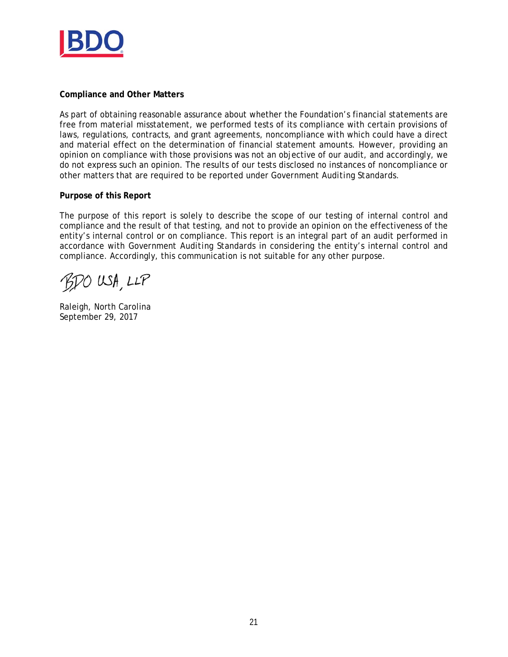

### **Compliance and Other Matters**

As part of obtaining reasonable assurance about whether the Foundation's financial statements are free from material misstatement, we performed tests of its compliance with certain provisions of laws, regulations, contracts, and grant agreements, noncompliance with which could have a direct and material effect on the determination of financial statement amounts. However, providing an opinion on compliance with those provisions was not an objective of our audit, and accordingly, we do not express such an opinion. The results of our tests disclosed no instances of noncompliance or other matters that are required to be reported under *Government Auditing Standards*.

#### **Purpose of this Report**

The purpose of this report is solely to describe the scope of our testing of internal control and compliance and the result of that testing, and not to provide an opinion on the effectiveness of the entity's internal control or on compliance. This report is an integral part of an audit performed in accordance with *Government Auditing Standards* in considering the entity's internal control and compliance. Accordingly, this communication is not suitable for any other purpose.

BDO USA, LLP

Raleigh, North Carolina September 29, 2017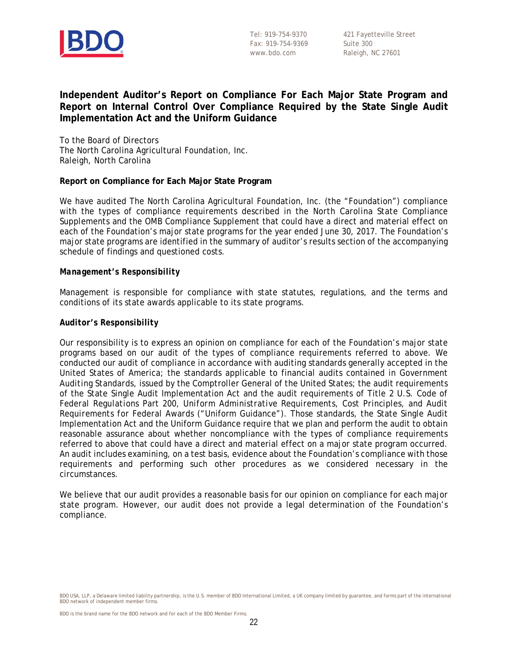

## **Independent Auditor's Report on Compliance For Each Major State Program and Report on Internal Control Over Compliance Required by the State Single Audit Implementation Act and the Uniform Guidance**

To the Board of Directors The North Carolina Agricultural Foundation, Inc. Raleigh, North Carolina

#### **Report on Compliance for Each Major State Program**

We have audited The North Carolina Agricultural Foundation, Inc. (the "Foundation") compliance with the types of compliance requirements described in the *North Carolina State Compliance Supplements* and the *OMB Compliance Supplement* that could have a direct and material effect on each of the Foundation's major state programs for the year ended June 30, 2017. The Foundation's major state programs are identified in the summary of auditor's results section of the accompanying schedule of findings and questioned costs.

#### *Management's Responsibility*

Management is responsible for compliance with state statutes, regulations, and the terms and conditions of its state awards applicable to its state programs.

#### *Auditor's Responsibility*

Our responsibility is to express an opinion on compliance for each of the Foundation's major state programs based on our audit of the types of compliance requirements referred to above. We conducted our audit of compliance in accordance with auditing standards generally accepted in the United States of America; the standards applicable to financial audits contained in *Government Auditing Standards*, issued by the Comptroller General of the United States; the audit requirements of the State Single Audit Implementation Act and the audit requirements of Title 2 U.S. *Code of Federal Regulations* Part 200, *Uniform Administrative Requirements, Cost Principles, and Audit Requirements for Federal Awards* ("Uniform Guidance"). Those standards, the State Single Audit Implementation Act and the Uniform Guidance require that we plan and perform the audit to obtain reasonable assurance about whether noncompliance with the types of compliance requirements referred to above that could have a direct and material effect on a major state program occurred. An audit includes examining, on a test basis, evidence about the Foundation's compliance with those requirements and performing such other procedures as we considered necessary in the circumstances.

We believe that our audit provides a reasonable basis for our opinion on compliance for each major state program. However, our audit does not provide a legal determination of the Foundation's compliance.

BDO USA, LLP, a Delaware limited liability partnership, is the U.S. member of BDO International Limited, a UK company limited by guarantee, and forms part of the international BDO network of independent member firms.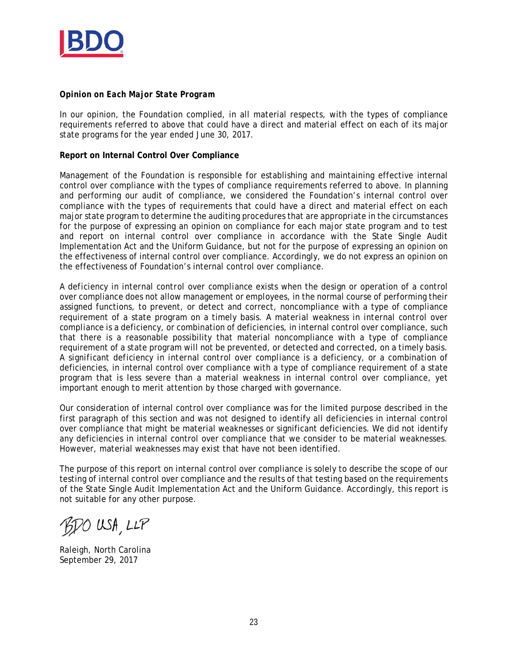

### *Opinion on Each Major State Program*

In our opinion, the Foundation complied, in all material respects, with the types of compliance requirements referred to above that could have a direct and material effect on each of its major state programs for the year ended June 30, 2017.

#### **Report on Internal Control Over Compliance**

Management of the Foundation is responsible for establishing and maintaining effective internal control over compliance with the types of compliance requirements referred to above. In planning and performing our audit of compliance, we considered the Foundation's internal control over compliance with the types of requirements that could have a direct and material effect on each major state program to determine the auditing procedures that are appropriate in the circumstances for the purpose of expressing an opinion on compliance for each major state program and to test and report on internal control over compliance in accordance with the State Single Audit Implementation Act and the Uniform Guidance, but not for the purpose of expressing an opinion on the effectiveness of internal control over compliance. Accordingly, we do not express an opinion on the effectiveness of Foundation's internal control over compliance.

A *deficiency in internal control over compliance* exists when the design or operation of a control over compliance does not allow management or employees, in the normal course of performing their assigned functions, to prevent, or detect and correct, noncompliance with a type of compliance requirement of a state program on a timely basis. *A material weakness in internal control over compliance* is a deficiency, or combination of deficiencies, in internal control over compliance, such that there is a reasonable possibility that material noncompliance with a type of compliance requirement of a state program will not be prevented, or detected and corrected, on a timely basis*. A significant deficiency in internal control over compliance* is a deficiency, or a combination of deficiencies, in internal control over compliance with a type of compliance requirement of a state program that is less severe than a material weakness in internal control over compliance, yet important enough to merit attention by those charged with governance.

Our consideration of internal control over compliance was for the limited purpose described in the first paragraph of this section and was not designed to identify all deficiencies in internal control over compliance that might be material weaknesses or significant deficiencies. We did not identify any deficiencies in internal control over compliance that we consider to be material weaknesses. However, material weaknesses may exist that have not been identified.

The purpose of this report on internal control over compliance is solely to describe the scope of our testing of internal control over compliance and the results of that testing based on the requirements of the State Single Audit Implementation Act and the Uniform Guidance. Accordingly, this report is not suitable for any other purpose.

BDO USA, LLP

Raleigh, North Carolina September 29, 2017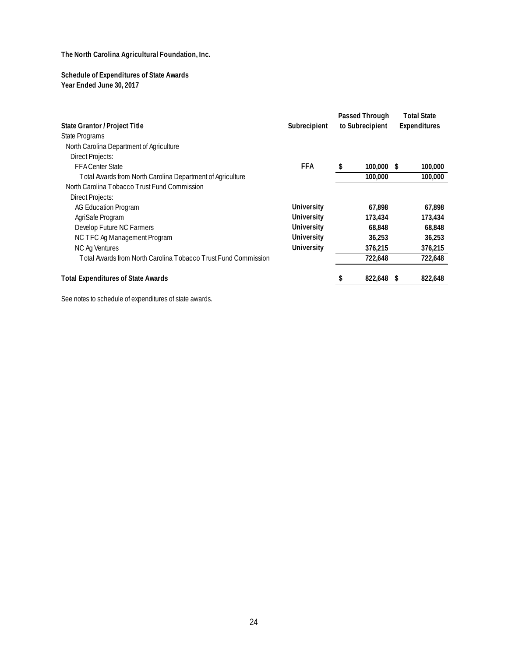**Schedule of Expenditures of State Awards Year Ended June 30, 2017**

|                                                                |                   | Passed Through |                 | <b>Total State</b>  |  |
|----------------------------------------------------------------|-------------------|----------------|-----------------|---------------------|--|
| State Grantor / Project Title                                  | Subrecipient      |                | to Subrecipient | <b>Expenditures</b> |  |
| State Programs                                                 |                   |                |                 |                     |  |
| North Carolina Department of Agriculture                       |                   |                |                 |                     |  |
| Direct Projects:                                               |                   |                |                 |                     |  |
| <b>FFA Center State</b>                                        | <b>FFA</b>        | \$             | 100,000 \$      | 100,000             |  |
| Total Awards from North Carolina Department of Agriculture     |                   |                | 100,000         | 100,000             |  |
| North Carolina Tobacco Trust Fund Commission                   |                   |                |                 |                     |  |
| Direct Projects:                                               |                   |                |                 |                     |  |
| AG Education Program                                           | University        |                | 67,898          | 67,898              |  |
| AgriSafe Program                                               | University        |                | 173,434         | 173,434             |  |
| Develop Future NC Farmers                                      | University        |                | 68,848          | 68,848              |  |
| NC TFC Ag Management Program                                   | University        |                | 36,253          | 36,253              |  |
| <b>NC Ag Ventures</b>                                          | <b>University</b> |                | 376,215         | 376,215             |  |
| Total Awards from North Carolina Tobacco Trust Fund Commission |                   |                | 722,648         | 722,648             |  |
| <b>Total Expenditures of State Awards</b>                      |                   |                | 822,648 \$      | 822,648             |  |

See notes to schedule of expenditures of state awards.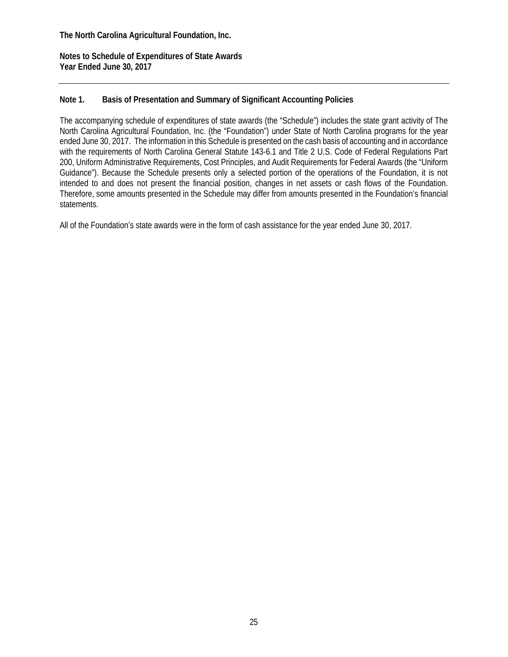**Notes to Schedule of Expenditures of State Awards Year Ended June 30, 2017** 

## **Note 1. Basis of Presentation and Summary of Significant Accounting Policies**

The accompanying schedule of expenditures of state awards (the "Schedule") includes the state grant activity of The North Carolina Agricultural Foundation, Inc. (the "Foundation") under State of North Carolina programs for the year ended June 30, 2017. The information in this Schedule is presented on the cash basis of accounting and in accordance with the requirements of North Carolina General Statute 143-6.1 and Title 2 U.S. Code of Federal Regulations Part 200, Uniform Administrative Requirements, Cost Principles, and Audit Requirements for Federal Awards (the "Uniform Guidance"). Because the Schedule presents only a selected portion of the operations of the Foundation, it is not intended to and does not present the financial position, changes in net assets or cash flows of the Foundation. Therefore, some amounts presented in the Schedule may differ from amounts presented in the Foundation's financial statements.

All of the Foundation's state awards were in the form of cash assistance for the year ended June 30, 2017.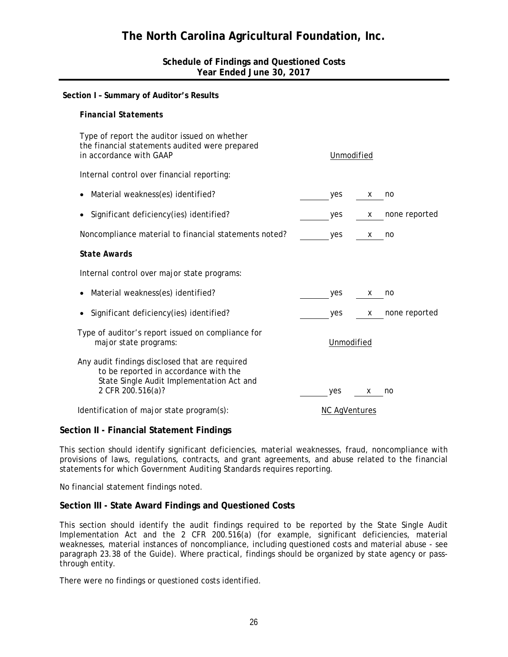## **Schedule of Findings and Questioned Costs Year Ended June 30, 2017**

| Section I - Summary of Auditor's Results                                                                                                                  |                      |   |               |
|-----------------------------------------------------------------------------------------------------------------------------------------------------------|----------------------|---|---------------|
| <b>Financial Statements</b>                                                                                                                               |                      |   |               |
| Type of report the auditor issued on whether<br>the financial statements audited were prepared<br>in accordance with GAAP                                 | Unmodified           |   |               |
| Internal control over financial reporting:                                                                                                                |                      |   |               |
| Material weakness(es) identified?                                                                                                                         | yes                  | х | no            |
| Significant deficiency(ies) identified?                                                                                                                   | yes                  | x | none reported |
| Noncompliance material to financial statements noted?                                                                                                     | yes                  | X | no            |
| <b>State Awards</b>                                                                                                                                       |                      |   |               |
| Internal control over major state programs:                                                                                                               |                      |   |               |
| Material weakness(es) identified?                                                                                                                         | yes                  | x | no            |
| Significant deficiency(ies) identified?                                                                                                                   | yes                  | x | none reported |
| Type of auditor's report issued on compliance for<br>major state programs:                                                                                | Unmodified           |   |               |
| Any audit findings disclosed that are required<br>to be reported in accordance with the<br>State Single Audit Implementation Act and<br>2 CFR 200.516(a)? | yes                  | x | no            |
| Identification of major state program(s):                                                                                                                 | <b>NC AgVentures</b> |   |               |

## **Section II - Financial Statement Findings**

This section should identify significant deficiencies, material weaknesses, fraud, noncompliance with provisions of laws, regulations, contracts, and grant agreements, and abuse related to the financial statements for which *Government Auditing Standards* requires reporting.

No financial statement findings noted.

#### **Section III - State Award Findings and Questioned Costs**

This section should identify the audit findings required to be reported by the State Single Audit Implementation Act and the 2 CFR 200.516(a) (for example, significant deficiencies, material weaknesses, material instances of noncompliance, including questioned costs and material abuse - see paragraph 23.38 of the Guide). Where practical, findings should be organized by state agency or passthrough entity.

There were no findings or questioned costs identified.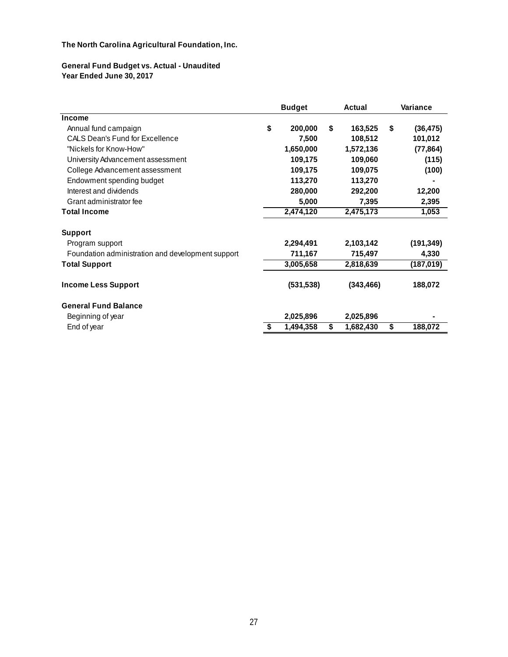## **General Fund Budget vs. Actual - Unaudited Year Ended June 30, 2017**

|                                                   | <b>Budget</b>   | Actual |            | Variance        |
|---------------------------------------------------|-----------------|--------|------------|-----------------|
| Income                                            |                 |        |            |                 |
| Annual fund campaign                              | \$<br>200,000   | \$     | 163,525    | \$<br>(36, 475) |
| <b>CALS Dean's Fund for Excellence</b>            | 7,500           |        | 108,512    | 101,012         |
| "Nickels for Know-How"                            | 1,650,000       |        | 1,572,136  | (77, 864)       |
| University Advancement assessment                 | 109,175         |        | 109,060    | (115)           |
| College Advancement assessment                    | 109,175         |        | 109,075    | (100)           |
| Endowment spending budget                         | 113,270         |        | 113,270    |                 |
| Interest and dividends                            | 280,000         |        | 292,200    | 12,200          |
| Grant administrator fee                           | 5,000           |        | 7,395      | 2,395           |
| <b>Total Income</b>                               | 2,474,120       |        | 2,475,173  | 1,053           |
| Support                                           |                 |        |            |                 |
| Program support                                   | 2,294,491       |        | 2,103,142  | (191, 349)      |
| Foundation administration and development support | 711,167         |        | 715,497    | 4,330           |
| <b>Total Support</b>                              | 3,005,658       |        | 2,818,639  | (187, 019)      |
| <b>Income Less Support</b>                        | (531, 538)      |        | (343, 466) | 188,072         |
| <b>General Fund Balance</b>                       |                 |        |            |                 |
| Beginning of year                                 | 2,025,896       |        | 2,025,896  |                 |
| End of year                                       | \$<br>1,494,358 | \$     | 1,682,430  | \$<br>188,072   |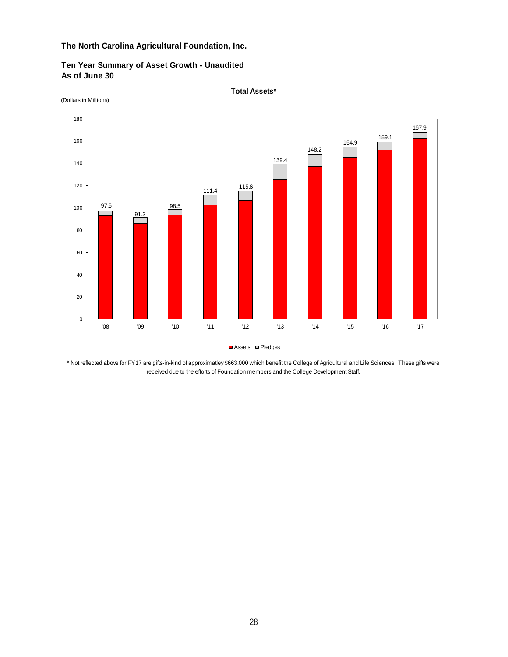## **Ten Year Summary of Asset Growth - Unaudited As of June 30**



(Dollars in Millions)

**Total Assets\***

\* Not reflected above for FY'17 are gifts-in-kind of approximatley \$663,000 which benefit the College of Agricultural and Life Sciences. These gifts were received due to the efforts of Foundation members and the College Development Staff.